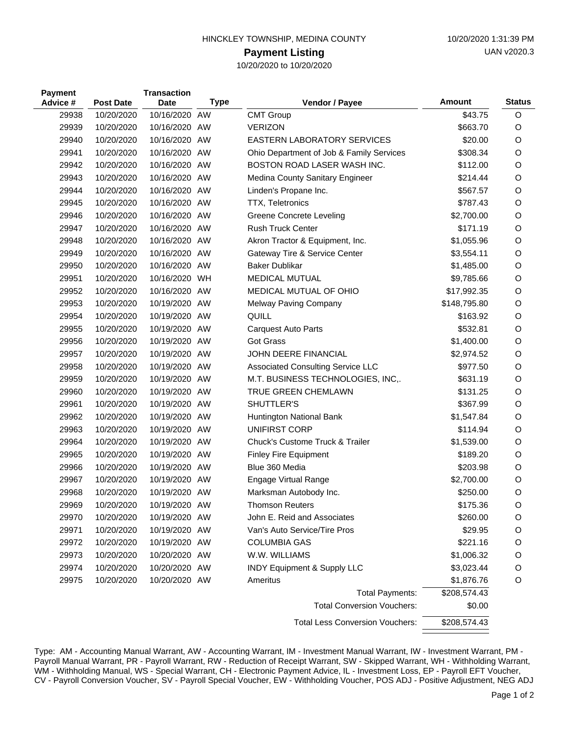| HINCKLEY TOWNSHIP, MEDINA COUNTY |  |
|----------------------------------|--|
|                                  |  |

## **Payment Listing**

10/20/2020 to 10/20/2020

| <b>Payment</b><br>Advice # | <b>Post Date</b> | <b>Transaction</b><br><b>Date</b> | <b>Type</b> | Vendor / Payee                           | <b>Amount</b> | <b>Status</b> |
|----------------------------|------------------|-----------------------------------|-------------|------------------------------------------|---------------|---------------|
| 29938                      | 10/20/2020       | 10/16/2020                        | AW          | <b>CMT Group</b>                         | \$43.75       | O             |
| 29939                      | 10/20/2020       | 10/16/2020 AW                     |             | <b>VERIZON</b>                           | \$663.70      | O             |
| 29940                      | 10/20/2020       | 10/16/2020 AW                     |             | <b>EASTERN LABORATORY SERVICES</b>       | \$20.00       | O             |
| 29941                      | 10/20/2020       | 10/16/2020 AW                     |             | Ohio Department of Job & Family Services | \$308.34      | O             |
| 29942                      | 10/20/2020       | 10/16/2020 AW                     |             | BOSTON ROAD LASER WASH INC.              | \$112.00      | O             |
| 29943                      | 10/20/2020       | 10/16/2020 AW                     |             | Medina County Sanitary Engineer          | \$214.44      | O             |
| 29944                      | 10/20/2020       | 10/16/2020 AW                     |             | Linden's Propane Inc.                    | \$567.57      | O             |
| 29945                      | 10/20/2020       | 10/16/2020 AW                     |             | <b>TTX, Teletronics</b>                  | \$787.43      | O             |
| 29946                      | 10/20/2020       | 10/16/2020 AW                     |             | Greene Concrete Leveling                 | \$2,700.00    | O             |
| 29947                      | 10/20/2020       | 10/16/2020 AW                     |             | <b>Rush Truck Center</b>                 | \$171.19      | O             |
| 29948                      | 10/20/2020       | 10/16/2020 AW                     |             | Akron Tractor & Equipment, Inc.          | \$1,055.96    | O             |
| 29949                      | 10/20/2020       | 10/16/2020 AW                     |             | Gateway Tire & Service Center            | \$3,554.11    | O             |
| 29950                      | 10/20/2020       | 10/16/2020 AW                     |             | <b>Baker Dublikar</b>                    | \$1,485.00    | O             |
| 29951                      | 10/20/2020       | 10/16/2020 WH                     |             | <b>MEDICAL MUTUAL</b>                    | \$9,785.66    | O             |
| 29952                      | 10/20/2020       | 10/16/2020 AW                     |             | MEDICAL MUTUAL OF OHIO                   | \$17,992.35   | O             |
| 29953                      | 10/20/2020       | 10/19/2020 AW                     |             | Melway Paving Company                    | \$148,795.80  | O             |
| 29954                      | 10/20/2020       | 10/19/2020 AW                     |             | QUILL                                    | \$163.92      | O             |
| 29955                      | 10/20/2020       | 10/19/2020 AW                     |             | <b>Carquest Auto Parts</b>               | \$532.81      | O             |
| 29956                      | 10/20/2020       | 10/19/2020 AW                     |             | <b>Got Grass</b>                         | \$1,400.00    | O             |
| 29957                      | 10/20/2020       | 10/19/2020 AW                     |             | <b>JOHN DEERE FINANCIAL</b>              | \$2,974.52    | O             |
| 29958                      | 10/20/2020       | 10/19/2020 AW                     |             | <b>Associated Consulting Service LLC</b> | \$977.50      | O             |
| 29959                      | 10/20/2020       | 10/19/2020 AW                     |             | M.T. BUSINESS TECHNOLOGIES, INC,.        | \$631.19      | O             |
| 29960                      | 10/20/2020       | 10/19/2020 AW                     |             | TRUE GREEN CHEMLAWN                      | \$131.25      | O             |
| 29961                      | 10/20/2020       | 10/19/2020 AW                     |             | SHUTTLER'S                               | \$367.99      | O             |
| 29962                      | 10/20/2020       | 10/19/2020 AW                     |             | Huntington National Bank                 | \$1,547.84    | O             |
| 29963                      | 10/20/2020       | 10/19/2020 AW                     |             | <b>UNIFIRST CORP</b>                     | \$114.94      | O             |
| 29964                      | 10/20/2020       | 10/19/2020 AW                     |             | Chuck's Custome Truck & Trailer          | \$1,539.00    | O             |
| 29965                      | 10/20/2020       | 10/19/2020 AW                     |             | <b>Finley Fire Equipment</b>             | \$189.20      | O             |
| 29966                      | 10/20/2020       | 10/19/2020 AW                     |             | Blue 360 Media                           | \$203.98      | O             |
| 29967                      | 10/20/2020       | 10/19/2020 AW                     |             | Engage Virtual Range                     | \$2,700.00    | O             |
| 29968                      | 10/20/2020       | 10/19/2020 AW                     |             | Marksman Autobody Inc.                   | \$250.00      | O             |
| 29969                      | 10/20/2020       | 10/19/2020 AW                     |             | <b>Thomson Reuters</b>                   | \$175.36      | O             |
| 29970                      | 10/20/2020       | 10/19/2020 AW                     |             | John E. Reid and Associates              | \$260.00      | O             |
| 29971                      | 10/20/2020       | 10/19/2020 AW                     |             | Van's Auto Service/Tire Pros             | \$29.95       | O             |
| 29972                      | 10/20/2020       | 10/19/2020 AW                     |             | <b>COLUMBIA GAS</b>                      | \$221.16      | O             |
| 29973                      | 10/20/2020       | 10/20/2020 AW                     |             | W.W. WILLIAMS                            | \$1,006.32    | O             |
| 29974                      | 10/20/2020       | 10/20/2020 AW                     |             | INDY Equipment & Supply LLC              | \$3,023.44    | O             |
| 29975                      | 10/20/2020       | 10/20/2020 AW                     |             | Ameritus                                 | \$1,876.76    | O             |
|                            |                  |                                   |             | <b>Total Payments:</b>                   | \$208,574.43  |               |
|                            |                  |                                   |             | <b>Total Conversion Vouchers:</b>        | \$0.00        |               |
|                            |                  |                                   |             | <b>Total Less Conversion Vouchers:</b>   | \$208,574.43  |               |
|                            |                  |                                   |             |                                          |               |               |

Type: AM - Accounting Manual Warrant, AW - Accounting Warrant, IM - Investment Manual Warrant, IW - Investment Warrant, PM - Payroll Manual Warrant, PR - Payroll Warrant, RW - Reduction of Receipt Warrant, SW - Skipped Warrant, WH - Withholding Warrant, WM - Withholding Manual, WS - Special Warrant, CH - Electronic Payment Advice, IL - Investment Loss, EP - Payroll EFT Voucher, CV - Payroll Conversion Voucher, SV - Payroll Special Voucher, EW - Withholding Voucher, POS ADJ - Positive Adjustment, NEG ADJ